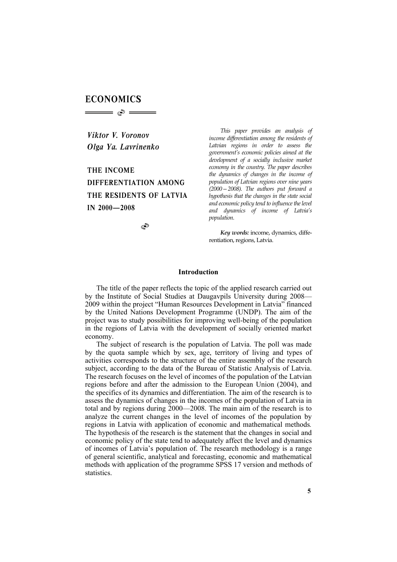# **ECONOMICS**

*Viktor V. Voronov Olga Ya. Lavrinenko* 

 $\implies$   $\circ$ 

**THE INCOME DIFFERENTIATION AMONG THE RESIDENTS OF LATVIA IN 2000—2008** 

S

*This paper provides an analysis of income differentiation among the residents of Latvian regions in order to assess the government's economic policies aimed at the development of a socially inclusive market economy in the country. The paper describes the dynamics of changes in the income of population of Latvian regions over nine years (2000—2008). The authors put forward a hypothesis that the changes in the state social and economic policy tend to influence the level and dynamics of income of Latvia's population.*

*Key words:* income, dynamics, differentiation, regions, Latvia.

## **Introduction**

The title of the paper reflects the topic of the applied research carried out by the Institute of Social Studies at Daugavpils University during 2008— 2009 within the project "Human Resources Development in Latvia" financed by the United Nations Development Programme (UNDP). The aim of the project was to study possibilities for improving well-being of the population in the regions of Latvia with the development of socially oriented market economy.

The subject of research is the population of Latvia. The poll was made by the quota sample which by sex, age, territory of living and types of activities corresponds to the structure of the entire assembly of the research subject, according to the data of the Bureau of Statistic Analysis of Latvia. The research focuses on the level of incomes of the population of the Latvian regions before and after the admission to the European Union (2004), and the specifics of its dynamics and differentiation. The aim of the research is to assess the dynamics of changes in the incomes of the population of Latvia in total and by regions during 2000—2008. The main aim of the research is to analyze the current changes in the level of incomes of the population by regions in Latvia with application of economic and mathematical methods*.* The hypothesis of the research is the statement that the changes in social and economic policy of the state tend to adequately affect the level and dynamics of incomes of Latvia's population of. The research methodology is a range of general scientific, analytical and forecasting, economic and mathematical methods with application of the programme SPSS 17 version and methods of statistics.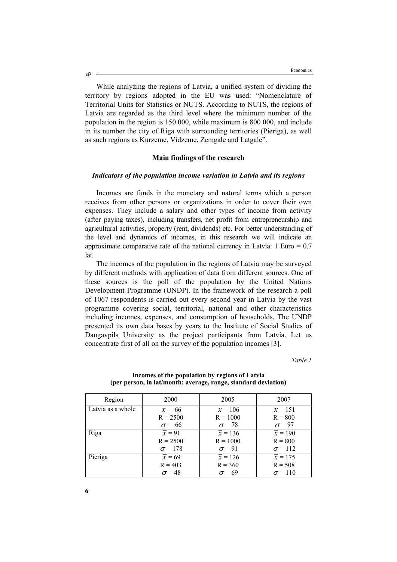While analyzing the regions of Latvia, a unified system of dividing the territory by regions adopted in the EU was used: "Nomenclature of Territorial Units for Statistics or NUTS. According to NUTS, the regions of Latvia are regarded as the third level where the minimum number of the population in the region is 150 000, while maximum is 800 000, and include in its number the city of Riga with surrounding territories (Pieriga), as well as such regions as Kurzeme, Vidzeme, Zemgale and Latgale".

#### **Main findings of the research**

## *Indicators of the population income variation in Latvia and its regions*

Incomes are funds in the monetary and natural terms which a person receives from other persons or organizations in order to cover their own expenses. They include a salary and other types of income from activity (after paying taxes), including transfers, net profit from entrepreneurship and agricultural activities, property (rent, dividends) etc. For better understanding of the level and dynamics of incomes, in this research we will indicate an approximate comparative rate of the national currency in Latvia:  $1 \text{ Euro} = 0.7$ lat.

The incomes of the population in the regions of Latvia may be surveyed by different methods with application of data from different sources. One of these sources is the poll of the population by the United Nations Development Programme (UNDP). In the framework of the research a poll of 1067 respondents is carried out every second year in Latvia by the vast programme covering social, territorial, national and other characteristics including incomes, expenses, and consumption of households. The UNDP presented its own data bases by years to the Institute of Social Studies of Daugavpils University as the project participants from Latvia. Let us concentrate first of all on the survey of the population incomes [3].

*Table 1* 

| Region            | 2000                | 2005                 | 2007                 |
|-------------------|---------------------|----------------------|----------------------|
| Latvia as a whole | $\overline{x}$ = 66 | $\overline{x}$ = 106 | $\overline{x}$ = 151 |
|                   | $R = 2500$          | $R = 1000$           | $R = 800$            |
|                   | $\sigma$ = 66       | $\sigma$ = 78        | $\sigma$ = 97        |
| Riga              | $\overline{x} = 91$ | $\overline{x}$ = 136 | $\overline{x}$ = 190 |
|                   | $R = 2500$          | $R = 1000$           | $R = 800$            |
|                   | $\sigma$ = 178      | $\sigma$ = 91        | $\sigma$ = 112       |
| Pieriga           | $\overline{x}$ = 69 | $\bar{x} = 126$      | $\bar{x} = 175$      |
|                   | $R = 403$           | $R = 360$            | $R = 508$            |
|                   | $\sigma$ = 48       | $\sigma$ = 69        | $\sigma$ = 110       |

**Incomes of the population by regions of Latvia (per person, in lat/month: average, range, standard deviation)** 

Ò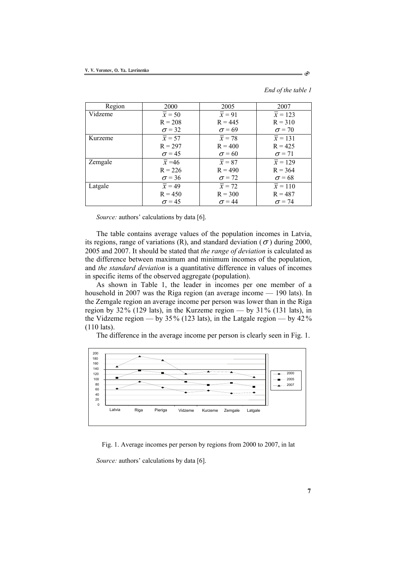*End of the table 1* 

<u>ෙ</u>

| Region  | 2000                | 2005                | 2007                 |
|---------|---------------------|---------------------|----------------------|
| Vidzeme | $\overline{x}$ = 50 | $\overline{x} = 91$ | $\overline{x}$ = 123 |
|         | $R = 208$           | $R = 445$           | $R = 310$            |
|         | $\sigma$ = 32       | $\sigma$ = 69       | $\sigma$ = 70        |
| Kurzeme | $\overline{x}$ = 57 | $\overline{x}$ = 78 | $\overline{x}$ = 131 |
|         | $R = 297$           | $R = 400$           | $R = 425$            |
|         | $\sigma$ = 45       | $\sigma$ = 60       | $\sigma$ = 71        |
| Zemgale | $\overline{x} = 46$ | $\overline{x}$ = 87 | $\overline{x}$ = 129 |
|         | $R = 226$           | $R = 490$           | $R = 364$            |
|         | $\sigma$ = 36       | $\sigma$ = 72       | $\sigma$ = 68        |
| Latgale | $\overline{x}$ = 49 | $\overline{x}$ = 72 | $\overline{x}$ = 110 |
|         | $R = 450$           | $R = 300$           | $R = 487$            |
|         | $\sigma$ = 45       | $\sigma$ = 44       | $\sigma$ = 74        |

*Source:* authors' calculations by data [6].

The table contains average values of the population incomes in Latvia, its regions, range of variations (R), and standard deviation ( $\sigma$ ) during 2000, 2005 and 2007. It should be stated that *the range of deviation* is calculated as the difference between maximum and minimum incomes of the population, and *the standard deviation* is a quantitative difference in values of incomes in specific items of the observed aggregate (population).

As shown in Table 1, the leader in incomes per one member of a household in 2007 was the Riga region (an average income — 190 lats). In the Zemgale region an average income per person was lower than in the Riga region by 32% (129 lats), in the Kurzeme region — by 31% (131 lats), in the Vidzeme region — by  $35\%$  (123 lats), in the Latgale region — by  $42\%$ (110 lats).

The difference in the average income per person is clearly seen in Fig. 1.



Fig. 1. Average incomes per person by regions from 2000 to 2007, in lat *Source:* authors' calculations by data [6].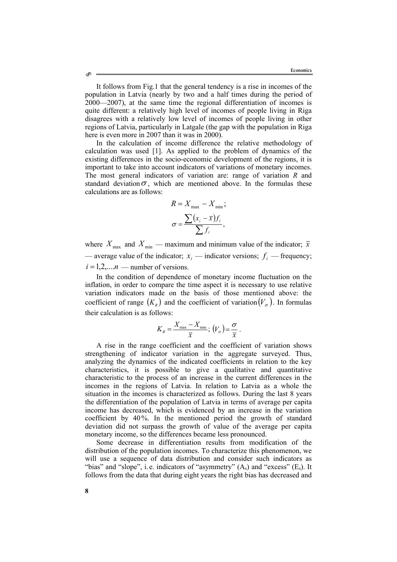It follows from Fig.1 that the general tendency is a rise in incomes of the population in Latvia (nearly by two and a half times during the period of 2000—2007), at the same time the regional differentiation of incomes is quite different: a relatively high level of incomes of people living in Riga disagrees with a relatively low level of incomes of people living in other regions of Latvia, particularly in Latgale (the gap with the population in Riga here is even more in 2007 than it was in 2000).

In the calculation of income difference the relative methodology of calculation was used [1]. As applied to the problem of dynamics of the existing differences in the socio-economic development of the regions, it is important to take into account indicators of variations of monetary incomes. The most general indicators of variation are: range of variation *R* and standard deviation  $\sigma$ , which are mentioned above. In the formulas these calculations are as follows:

$$
R = X_{\text{max}} - X_{\text{min}};
$$

$$
\sigma = \frac{\sum (x_i - \bar{x}) f_i}{\sum f_i},
$$

where  $X_{\text{max}}$  and  $X_{\text{min}}$  — maximum and minimum value of the indicator;  $\bar{x}$ — average value of the indicator;  $x_i$  — indicator versions;  $f_i$  — frequency;  $i = 1,2,....n$  — number of versions.

In the condition of dependence of monetary income fluctuation on the inflation, in order to compare the time aspect it is necessary to use relative variation indicators made on the basis of those mentioned above: the coefficient of range  $(K_p)$  and the coefficient of variation  $(V_a)$ . In formulas their calculation is as follows:

$$
K_{R} = \frac{X_{\max} - X_{\min}}{\overline{x}}; (V_{\sigma}) = \frac{\sigma}{\overline{x}}.
$$

A rise in the range coefficient and the coefficient of variation shows strengthening of indicator variation in the aggregate surveyed. Thus, analyzing the dynamics of the indicated coefficients in relation to the key characteristics, it is possible to give a qualitative and quantitative characteristic to the process of an increase in the current differences in the incomes in the regions of Latvia. In relation to Latvia as a whole the situation in the incomes is characterized as follows. During the last 8 years the differentiation of the population of Latvia in terms of average per capita income has decreased, which is evidenced by an increase in the variation coefficient by 40%. In the mentioned period the growth of standard deviation did not surpass the growth of value of the average per capita monetary income, so the differences became less pronounced.

Some decrease in differentiation results from modification of the distribution of the population incomes. To characterize this phenomenon, we will use a sequence of data distribution and consider such indicators as "bias" and "slope", i.e. indicators of "asymmetry"  $(A_s)$  and "excess"  $(E_s)$ . It follows from the data that during eight years the right bias has decreased and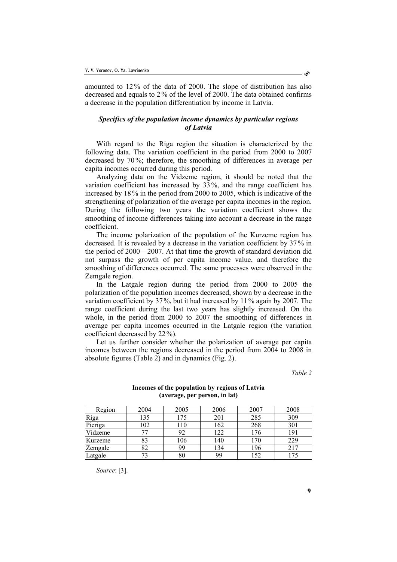amounted to 12% of the data of 2000. The slope of distribution has also decreased and equals to 2% of the level of 2000. The data obtained confirms a decrease in the population differentiation by income in Latvia.

# *Specifics of the population income dynamics by particular regions of Latvia*

With regard to the Riga region the situation is characterized by the following data. The variation coefficient in the period from 2000 to 2007 decreased by 70%; therefore, the smoothing of differences in average per capita incomes occurred during this period.

Analyzing data on the Vidzeme region, it should be noted that the variation coefficient has increased by 33%, and the range coefficient has increased by 18% in the period from 2000 to 2005, which is indicative of the strengthening of polarization of the average per capita incomes in the region. During the following two years the variation coefficient shows the smoothing of income differences taking into account a decrease in the range coefficient.

The income polarization of the population of the Kurzeme region has decreased. It is revealed by a decrease in the variation coefficient by 37 % in the period of 2000—2007. At that time the growth of standard deviation did not surpass the growth of per capita income value, and therefore the smoothing of differences occurred. The same processes were observed in the Zemgale region.

In the Latgale region during the period from 2000 to 2005 the polarization of the population incomes decreased, shown by a decrease in the variation coefficient by 37%, but it had increased by 11% again by 2007. The range coefficient during the last two years has slightly increased. On the whole, in the period from 2000 to 2007 the smoothing of differences in average per capita incomes occurred in the Latgale region (the variation coefficient decreased by 22%).

Let us further consider whether the polarization of average per capita incomes between the regions decreased in the period from 2004 to 2008 in absolute figures (Table 2) and in dynamics (Fig. 2).

*Table 2* 

| Region  | 2004 | 2005 | 2006 | 2007 | 2008 |
|---------|------|------|------|------|------|
| Riga    | 135  | 175  | 201  | 285  | 309  |
| Pieriga | 102  | 110  | 162  | 268  | 301  |
| Vidzeme |      | 92   | 122  | 76   | 191  |
| Kurzeme | 83   | 106  | 140  | 170  | 229  |
| Zemgale | 82   | 99   | 134  | 196  | 217  |
| Latgale |      | 80   | 99   | 152  | .75  |

#### **Incomes of the population by regions of Latvia (average, per person, in lat)**

*Source*: [3].

**9**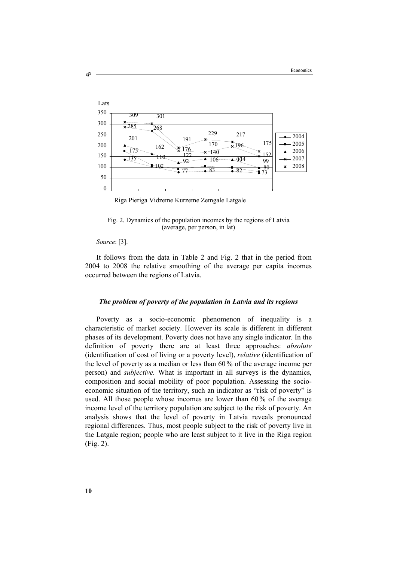

Riga Pieriga Vidzeme Kurzeme Zemgale Latgale

Fig. 2. Dynamics of the population incomes by the regions of Latvia (average, per person, in lat)

*Source*: [3].

Ò

It follows from the data in Table 2 and Fig. 2 that in the period from 2004 to 2008 the relative smoothing of the average per capita incomes occurred between the regions of Latvia.

## *The problem of poverty of the population in Latvia and its regions*

Poverty as a socio-economic phenomenon of inequality is a characteristic of market society. However its scale is different in different phases of its development. Poverty does not have any single indicator. In the definition of poverty there are at least three approaches: *absolute*  (identification of cost of living or a poverty level), *relative* (identification of the level of poverty as a median or less than 60 % of the average income per person) and *subjective.* What is important in all surveys is the dynamics, composition and social mobility of poor population. Assessing the socioeconomic situation of the territory, such an indicator as "risk of poverty" is used. All those people whose incomes are lower than 60% of the average income level of the territory population are subject to the risk of poverty. An analysis shows that the level of poverty in Latvia reveals pronounced regional differences. Thus, most people subject to the risk of poverty live in the Latgale region; people who are least subject to it live in the Riga region (Fig. 2).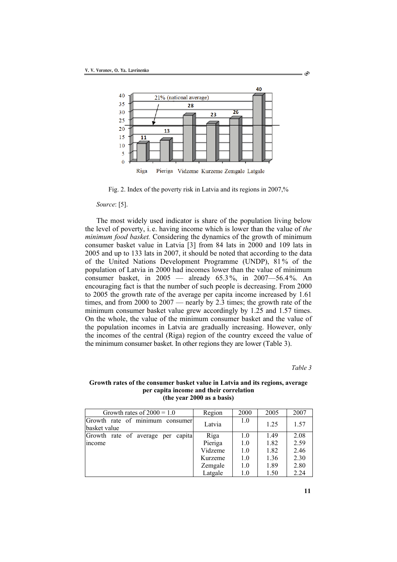

Fig. 2. Index of the poverty risk in Latvia and its regions in 2007,%

*Source*: [5].

The most widely used indicator is share of the population living below the level of poverty, i. e. having income which is lower than the value of *the minimum food basket.* Considering the dynamics of the growth of minimum consumer basket value in Latvia [3] from 84 lats in 2000 and 109 lats in 2005 and up to 133 lats in 2007, it should be noted that according to the data of the United Nations Development Programme (UNDP), 81 % of the population of Latvia in 2000 had incomes lower than the value of minimum consumer basket, in 2005 — already 65.3%, in 2007—56.4%. An encouraging fact is that the number of such people is decreasing. From 2000 to 2005 the growth rate of the average per capita income increased by 1.61 times, and from 2000 to 2007 — nearly by 2.3 times; the growth rate of the minimum consumer basket value grew accordingly by 1.25 and 1.57 times. On the whole, the value of the minimum consumer basket and the value of the population incomes in Latvia are gradually increasing. However, only the incomes of the central (Riga) region of the country exceed the value of the minimum consumer basket. In other regions they are lower (Table 3).

*Table 3* 

Ò

| Growth rates of $2000 = 1.0$                    | Region  | 2000 | 2005 | 2007 |
|-------------------------------------------------|---------|------|------|------|
| Growth rate of minimum consumer<br>basket value | Latvia  | 1.0  | 1.25 | 1.57 |
| Growth rate of average per capital              | Riga    | 1.0  | 1.49 | 2.08 |
| income                                          | Pieriga | 1.0  | 1.82 | 2.59 |
|                                                 | Vidzeme | 1.0  | 1.82 | 2.46 |
|                                                 | Kurzeme | 1.0  | 1.36 | 2.30 |
|                                                 | Zemgale | 1.0  | 1.89 | 2.80 |
|                                                 | Latgale | 1.0  | 1.50 | 2.24 |

#### **Growth rates of the consumer basket value in Latvia and its regions, average per capita income and their correlation (the year 2000 as a basis)**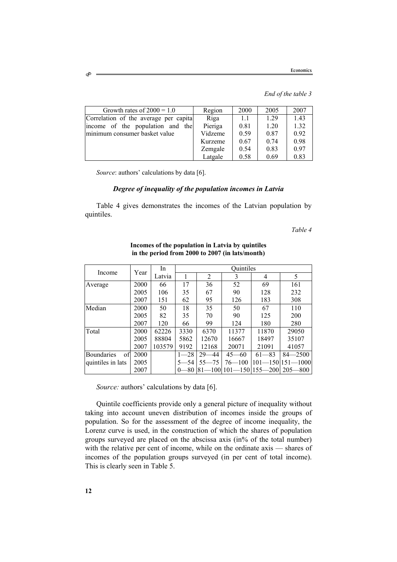*End of the table 3* 

| Growth rates of $2000 = 1.0$           | Region  | 2000 | 2005 | 2007 |
|----------------------------------------|---------|------|------|------|
| Correlation of the average per capital | Riga    | 11   | 1.29 | 1.43 |
| income of the population and<br>the    | Pieriga | 0.81 | 1.20 | 1.32 |
| minimum consumer basket value          | Vidzeme | 0.59 | 0.87 | 0.92 |
|                                        | Kurzeme | 0.67 | 0.74 | 0.98 |
|                                        | Zemgale | 0.54 | 0.83 | 0.97 |
|                                        | Latgale | 0.58 | 0.69 | 0.83 |

*Source*: authors' calculations by data [6].

## *Degree of inequality of the population incomes in Latvia*

Table 4 gives demonstrates the incomes of the Latvian population by quintiles.

*Table 4* 

|                         | Year | In.    | Ouintiles |                |                        |              |             |
|-------------------------|------|--------|-----------|----------------|------------------------|--------------|-------------|
| Income                  |      | Latvia |           | $\overline{2}$ | 3                      | 4            | 5           |
| Average                 | 2000 | 66     | 17        | 36             | 52                     | 69           | 161         |
|                         | 2005 | 106    | 35        | 67             | 90                     | 128          | 232         |
|                         | 2007 | 151    | 62        | 95             | 126                    | 183          | 308         |
| Median                  | 2000 | 50     | 18        | 35             | 50                     | 67           | 110         |
|                         | 2005 | 82     | 35        | 70             | 90                     | 125          | 200         |
|                         | 2007 | 120    | 66        | 99             | 124                    | 180          | 280         |
| Total                   | 2000 | 62226  | 3330      | 6370           | 11377                  | 11870        | 29050       |
|                         | 2005 | 88804  | 5862      | 12670          | 16667                  | 18497        | 35107       |
|                         | 2007 | 103579 | 9192      | 12168          | 20071                  | 21091        | 41057       |
| <b>Boundaries</b><br>of | 2000 |        | $1 - 28$  | 29-<br>-44     | $45 - 60$              | $61 - 83$    | $84 - 2500$ |
| quintiles in lats       | 2005 |        | $5 - 54$  | $55 - 75$      | $76 - 100$             | 101—1501151- | $-1000$ l   |
|                         | 2007 |        | -80       |                | 81—100 101—150 155—200 |              | $205 - 800$ |

**Incomes of the population in Latvia by quintiles in the period from 2000 to 2007 (in lats/month)** 

*Source:* authors' calculations by data [6].

Quintile coefficients provide only a general picture of inequality without taking into account uneven distribution of incomes inside the groups of population. So for the assessment of the degree of income inequality, the Lorenz curve is used, in the construction of which the shares of population groups surveyed are placed on the abscissa axis (in% of the total number) with the relative per cent of income, while on the ordinate axis — shares of incomes of the population groups surveyed (in per cent of total income). This is clearly seen in Table 5.

Ò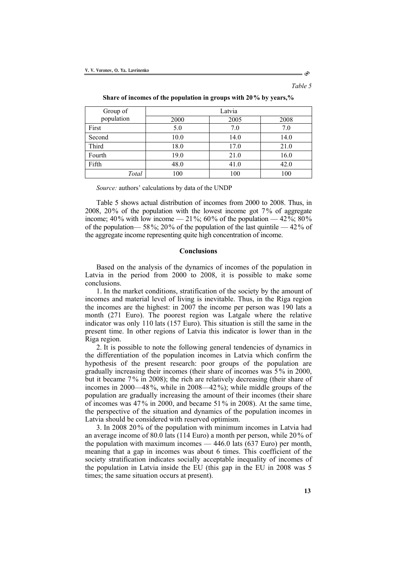*Table 5* 

 $\circ$ 

| Group of   | Latvia |      |      |  |  |  |
|------------|--------|------|------|--|--|--|
| population | 2000   | 2005 | 2008 |  |  |  |
| First      | 5.0    | 7.0  | 7.0  |  |  |  |
| Second     | 10.0   | 14.0 | 14.0 |  |  |  |
| Third      | 18.0   | 17.0 | 21.0 |  |  |  |
| Fourth     | 19.0   | 21.0 | 16.0 |  |  |  |
| Fifth      | 48.0   | 41.0 | 42.0 |  |  |  |
| Total      | 100    | 100  | 100  |  |  |  |

**Share of incomes of the population in groups with 20% by years,%** 

*Source:* authors' calculations by data of the UNDP

Table 5 shows actual distribution of incomes from 2000 to 2008. Thus, in 2008, 20% of the population with the lowest income got 7% of aggregate income; 40% with low income — 21%; 60% of the population — 42%; 80% of the population— 58%; 20% of the population of the last quintile — 42% of the aggregate income representing quite high concentration of income.

## **Conclusions**

Based on the analysis of the dynamics of incomes of the population in Latvia in the period from 2000 to 2008, it is possible to make some conclusions.

1. In the market conditions, stratification of the society by the amount of incomes and material level of living is inevitable. Thus, in the Riga region the incomes are the highest: in 2007 the income per person was 190 lats a month (271 Euro). The poorest region was Latgale where the relative indicator was only 110 lats (157 Euro). This situation is still the same in the present time. In other regions of Latvia this indicator is lower than in the Riga region.

2. It is possible to note the following general tendencies of dynamics in the differentiation of the population incomes in Latvia which confirm the hypothesis of the present research: poor groups of the population are gradually increasing their incomes (their share of incomes was 5% in 2000, but it became 7% in 2008); the rich are relatively decreasing (their share of incomes in 2000—48 %, while in 2008—42%); while middle groups of the population are gradually increasing the amount of their incomes (their share of incomes was 47 % in 2000, and became 51% in 2008). At the same time, the perspective of the situation and dynamics of the population incomes in Latvia should be considered with reserved optimism.

3. In 2008 20% of the population with minimum incomes in Latvia had an average income of 80.0 lats (114 Euro) a month per person, while 20% of the population with maximum incomes — 446.0 lats (637 Euro) per month, meaning that a gap in incomes was about 6 times. This coefficient of the society stratification indicates socially acceptable inequality of incomes of the population in Latvia inside the EU (this gap in the EU in 2008 was 5 times; the same situation occurs at present).